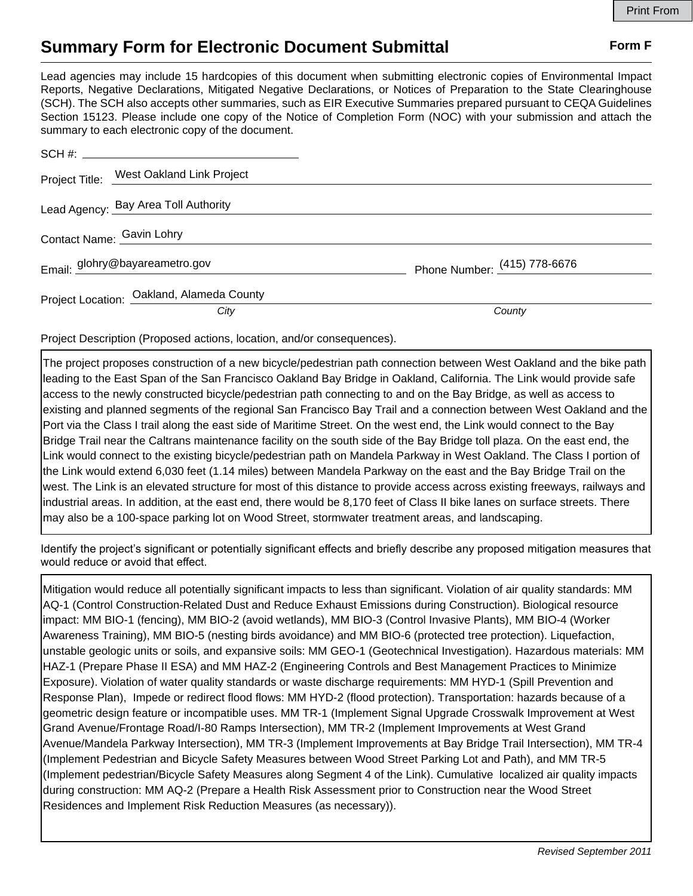## **Summary Form for Electronic Document Submittal Form F Form F**

Lead agencies may include 15 hardcopies of this document when submitting electronic copies of Environmental Impact Reports, Negative Declarations, Mitigated Negative Declarations, or Notices of Preparation to the State Clearinghouse (SCH). The SCH also accepts other summaries, such as EIR Executive Summaries prepared pursuant to CEQA Guidelines Section 15123. Please include one copy of the Notice of Completion Form (NOC) with your submission and attach the summary to each electronic copy of the document.

|                                | Project Title: West Oakland Link Project  |                              |
|--------------------------------|-------------------------------------------|------------------------------|
|                                | Lead Agency: Bay Area Toll Authority      |                              |
| Contact Name: Gavin Lohry      |                                           |                              |
| Email: glohry@bayareametro.gov |                                           | Phone Number: (415) 778-6676 |
|                                | Project Location: Oakland, Alameda County |                              |
|                                | City                                      | County                       |

Project Description (Proposed actions, location, and/or consequences).

The project proposes construction of a new bicycle/pedestrian path connection between West Oakland and the bike path leading to the East Span of the San Francisco Oakland Bay Bridge in Oakland, California. The Link would provide safe access to the newly constructed bicycle/pedestrian path connecting to and on the Bay Bridge, as well as access to existing and planned segments of the regional San Francisco Bay Trail and a connection between West Oakland and the Port via the Class I trail along the east side of Maritime Street. On the west end, the Link would connect to the Bay Bridge Trail near the Caltrans maintenance facility on the south side of the Bay Bridge toll plaza. On the east end, the Link would connect to the existing bicycle/pedestrian path on Mandela Parkway in West Oakland. The Class I portion of the Link would extend 6,030 feet (1.14 miles) between Mandela Parkway on the east and the Bay Bridge Trail on the west. The Link is an elevated structure for most of this distance to provide access across existing freeways, railways and industrial areas. In addition, at the east end, there would be 8,170 feet of Class II bike lanes on surface streets. There may also be a 100-space parking lot on Wood Street, stormwater treatment areas, and landscaping.

Identify the project's significant or potentially significant effects and briefly describe any proposed mitigation measures that would reduce or avoid that effect.

Mitigation would reduce all potentially significant impacts to less than significant. Violation of air quality standards: MM AQ-1 (Control Construction-Related Dust and Reduce Exhaust Emissions during Construction). Biological resource impact: MM BIO-1 (fencing), MM BIO-2 (avoid wetlands), MM BIO-3 (Control Invasive Plants), MM BIO-4 (Worker Awareness Training), MM BIO-5 (nesting birds avoidance) and MM BIO-6 (protected tree protection). Liquefaction, unstable geologic units or soils, and expansive soils: MM GEO-1 (Geotechnical Investigation). Hazardous materials: MM HAZ-1 (Prepare Phase II ESA) and MM HAZ-2 (Engineering Controls and Best Management Practices to Minimize Exposure). Violation of water quality standards or waste discharge requirements: MM HYD-1 (Spill Prevention and Response Plan), Impede or redirect flood flows: MM HYD-2 (flood protection). Transportation: hazards because of a geometric design feature or incompatible uses. MM TR-1 (Implement Signal Upgrade Crosswalk Improvement at West Grand Avenue/Frontage Road/I-80 Ramps Intersection), MM TR-2 (Implement Improvements at West Grand Avenue/Mandela Parkway Intersection), MM TR-3 (Implement Improvements at Bay Bridge Trail Intersection), MM TR-4 (Implement Pedestrian and Bicycle Safety Measures between Wood Street Parking Lot and Path), and MM TR-5 (Implement pedestrian/Bicycle Safety Measures along Segment 4 of the Link). Cumulative localized air quality impacts during construction: MM AQ-2 (Prepare a Health Risk Assessment prior to Construction near the Wood Street Residences and Implement Risk Reduction Measures (as necessary)).